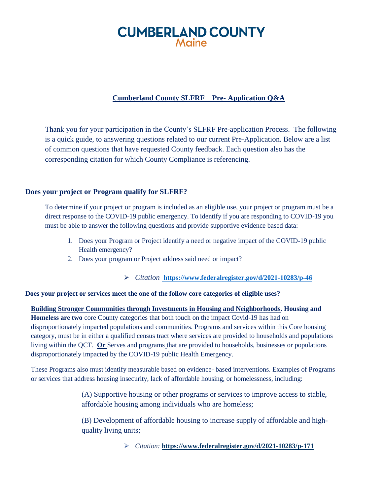# **CUMBERLAND COUNTY**

## **Cumberland County SLFRF Pre- Application Q&A**

Thank you for your participation in the County's SLFRF Pre-application Process. The following is a quick guide, to answering questions related to our current Pre-Application. Below are a list of common questions that have requested County feedback. Each question also has the corresponding citation for which County Compliance is referencing.

#### **Does your project or Program qualify for SLFRF?**

To determine if your project or program is included as an eligible use, your project or program must be a direct response to the COVID-19 public emergency. To identify if you are responding to COVID-19 you must be able to answer the following questions and provide supportive evidence based data:

- 1. Does your Program or Project identify a need or negative impact of the COVID-19 public Health emergency?
- 2. Does your program or Project address said need or impact?

*Citation* **<https://www.federalregister.gov/d/2021-10283/p-46>**

#### **Does your project or services meet the one of the follow core categories of eligible uses?**

**Building Stronger Communities through Investments in Housing and Neighborhoods. Housing and Homeless are two** core County categories that both touch on the impact Covid-19 has had on disproportionately impacted populations and communities. Programs and services within this Core housing category, must be in either a qualified census tract where services are provided to households and populations living within the QCT. **Or** Serves and programs that are provided to households, businesses or populations disproportionately impacted by the COVID-19 public Health Emergency.

These Programs also must identify measurable based on evidence- based interventions. Examples of Programs or services that address housing insecurity, lack of affordable housing, or homelessness, including:

> (A) Supportive housing or other programs or services to improve access to stable, affordable housing among individuals who are homeless;

> (B) Development of affordable housing to increase supply of affordable and highquality living units;

> > *Citation:* **<https://www.federalregister.gov/d/2021-10283/p-171>**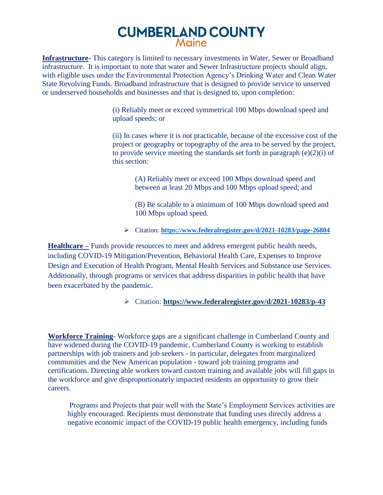## **CUMBERLAND COUNTY** Maine

**Infrastructure-** This category is limited to necessary investments in Water, Sewer or Broadband infrastructure. It is important to note that water and Sewer Infrastructure projects should align, with eligible uses under the Environmental Protection Agency's Drinking Water and Clean Water State Revolving Funds. Broadband infrastructure that is designed to provide service to unserved or underserved households and businesses and that is designed to, upon completion:

> (i) Reliably meet or exceed symmetrical 100 Mbps download speed and upload speeds; or

(ii) In cases where it is not practicable, because of the excessive cost of the project or geography or topography of the area to be served by the project, to provide service meeting the standards set forth in paragraph  $(e)(2)(i)$  of this section:

(A) Reliably meet or exceed 100 Mbps download speed and between at least 20 Mbps and 100 Mbps upload speed; and

(B) Be scalable to a minimum of 100 Mbps download speed and 100 Mbps upload speed.

Citation: **<https://www.federalregister.gov/d/2021-10283/page-26804>**

**Healthcare –** Funds provide resources to meet and address emergent public health needs, including COVID-19 Mitigation/Prevention, Behavioral Health Care, Expenses to Improve Design and Execution of Health Program, Mental Health Services and Substance use Services. Additionally, through programs or services that address disparities in public health that have been exacerbated by the pandemic.

### Citation: **<https://www.federalregister.gov/d/2021-10283/p-43>**

**Workforce Training**- Workforce gaps are a significant challenge in Cumberland County and have widened during the COVID-19 pandemic. Cumberland County is working to establish partnerships with job trainers and job seekers - in particular, delegates from marginalized communities and the New American population - toward job training programs and certifications. Directing able workers toward custom training and available jobs will fill gaps in the workforce and give disproportionately impacted residents an opportunity to grow their careers.

Programs and Projects that pair well with the State's Employment Services activities are highly encouraged. Recipients must demonstrate that funding uses directly address a negative economic impact of the COVID-19 public health emergency, including funds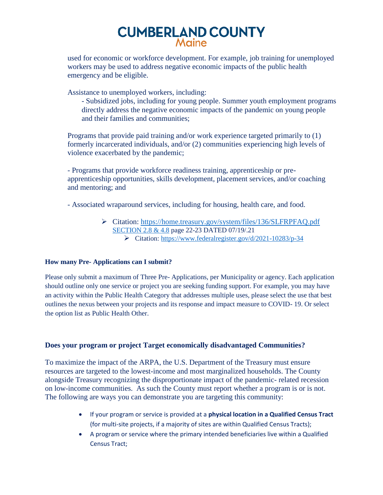# **CUMBERLAND COUNTY**

used for economic or workforce development. For example, job training for unemployed workers may be used to address negative economic impacts of the public health emergency and be eligible.

Assistance to unemployed workers, including:

- Subsidized jobs, including for young people. Summer youth employment programs directly address the negative economic impacts of the pandemic on young people and their families and communities;

Programs that provide paid training and/or work experience targeted primarily to (1) formerly incarcerated individuals, and/or (2) communities experiencing high levels of violence exacerbated by the pandemic;

- Programs that provide workforce readiness training, apprenticeship or preapprenticeship opportunities, skills development, placement services, and/or coaching and mentoring; and

- Associated wraparound services, including for housing, health care, and food.

 Citation: [https://home.treasury.gov/system/files/136/SLFRPFAQ.pdf](https://home.treasury.gov/system/files/136/SLFRPFAQ.pdf%20SECTION%202.8%20&%204.8) [SECTION 2.8](https://home.treasury.gov/system/files/136/SLFRPFAQ.pdf%20SECTION%202.8%20&%204.8) & 4.8 page 22-23 DATED 07/19/.21 Citation:<https://www.federalregister.gov/d/2021-10283/p-34>

#### **How many Pre- Applications can I submit?**

Please only submit a maximum of Three Pre- Applications, per Municipality or agency. Each application should outline only one service or project you are seeking funding support. For example, you may have an activity within the Public Health Category that addresses multiple uses, please select the use that best outlines the nexus between your projects and its response and impact measure to COVID- 19. Or select the option list as Public Health Other.

### **Does your program or project Target economically disadvantaged Communities?**

To maximize the impact of the ARPA, the U.S. Department of the Treasury must ensure resources are targeted to the lowest-income and most marginalized households. The County alongside Treasury recognizing the disproportionate impact of the pandemic- related recession on low-income communities. As such the County must report whether a program is or is not. The following are ways you can demonstrate you are targeting this community:

- If your program or service is provided at a **physical location in a Qualified Census Tract** (for multi-site projects, if a majority of sites are within Qualified Census Tracts);
- A program or service where the primary intended beneficiaries live within a Qualified Census Tract;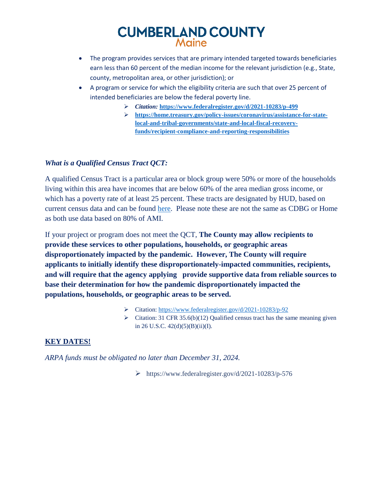# **CUMBERLAND COUNTY** Maine

- The program provides services that are primary intended targeted towards beneficiaries earn less than 60 percent of the median income for the relevant jurisdiction (e.g., State, county, metropolitan area, or other jurisdiction); or
- A program or service for which the eligibility criteria are such that over 25 percent of intended beneficiaries are below the federal poverty line.
	- *Citation:* **<https://www.federalregister.gov/d/2021-10283/p-499>**
	- **[https://home.treasury.gov/policy-issues/coronavirus/assistance-for-state](https://home.treasury.gov/policy-issues/coronavirus/assistance-for-state-local-and-tribal-governments/state-and-local-fiscal-recovery-funds/recipient-compliance-and-reporting-responsibilities)[local-and-tribal-governments/state-and-local-fiscal-recovery](https://home.treasury.gov/policy-issues/coronavirus/assistance-for-state-local-and-tribal-governments/state-and-local-fiscal-recovery-funds/recipient-compliance-and-reporting-responsibilities)[funds/recipient-compliance-and-reporting-responsibilities](https://home.treasury.gov/policy-issues/coronavirus/assistance-for-state-local-and-tribal-governments/state-and-local-fiscal-recovery-funds/recipient-compliance-and-reporting-responsibilities)**

### *What is a Qualified Census Tract QCT:*

A qualified Census Tract is a particular area or block group were 50% or more of the households living within this area have incomes that are below 60% of the area median gross income, or which has a poverty rate of at least 25 percent. These tracts are designated by HUD, based on current census data and can be found [here.](https://www.huduser.gov/portal/sadda/sadda_qct.html) Please note these are not the same as CDBG or Home as both use data based on 80% of AMI.

If your project or program does not meet the QCT, **The County may allow recipients to provide these services to other populations, households, or geographic areas disproportionately impacted by the pandemic. However, The County will require applicants to initially identify these disproportionately-impacted communities, recipients, and will require that the agency applying provide supportive data from reliable sources to base their determination for how the pandemic disproportionately impacted the populations, households, or geographic areas to be served.**

- Citation: <https://www.federalregister.gov/d/2021-10283/p-92>
- $\triangleright$  Citation: 31 CFR 35.6(b)(12) Qualified census tract has the same meaning given in 26 U.S.C. 42(d)(5)(B)(ii)(I).

### **KEY DATES!**

*ARPA funds must be obligated no later than December 31, 2024.*

https://www.federalregister.gov/d/2021-10283/p-576